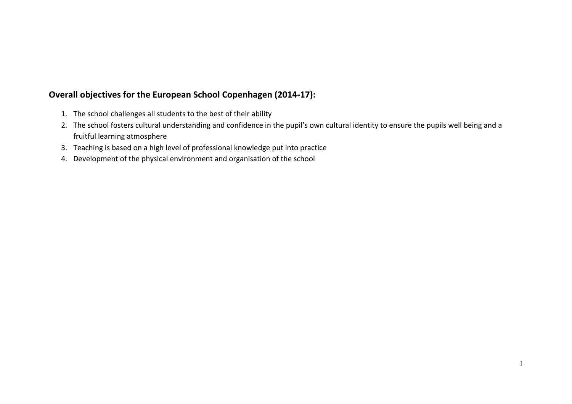## **Overall objectives for the European School Copenhagen (2014-17):**

- 1. The school challenges all students to the best of their ability
- 2. The school fosters cultural understanding and confidence in the pupil's own cultural identity to ensure the pupils well being and a fruitful learning atmosphere
- 3. Teaching is based on a high level of professional knowledge put into practice
- 4. Development of the physical environment and organisation of the school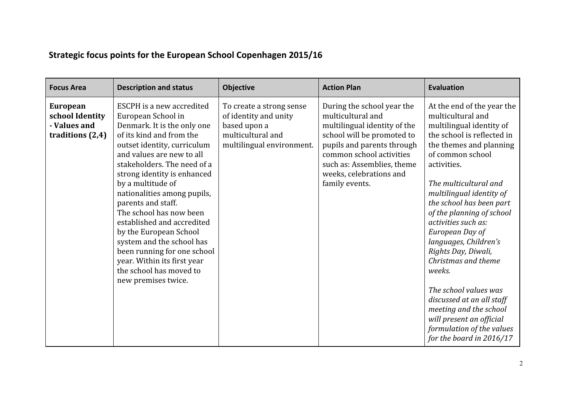| <b>Focus Area</b>                                                        | <b>Description and status</b>                                                                                                                                                                                                                                                                                                                                                                                                                                                                                                                  | Objective                                                                                                           | <b>Action Plan</b>                                                                                                                                                                                                                                 | <b>Evaluation</b>                                                                                                                                                                                                                                                                                                                                                                                                                                                                                                                                                                     |
|--------------------------------------------------------------------------|------------------------------------------------------------------------------------------------------------------------------------------------------------------------------------------------------------------------------------------------------------------------------------------------------------------------------------------------------------------------------------------------------------------------------------------------------------------------------------------------------------------------------------------------|---------------------------------------------------------------------------------------------------------------------|----------------------------------------------------------------------------------------------------------------------------------------------------------------------------------------------------------------------------------------------------|---------------------------------------------------------------------------------------------------------------------------------------------------------------------------------------------------------------------------------------------------------------------------------------------------------------------------------------------------------------------------------------------------------------------------------------------------------------------------------------------------------------------------------------------------------------------------------------|
| <b>European</b><br>school Identity<br>- Values and<br>traditions $(2,4)$ | ESCPH is a new accredited<br>European School in<br>Denmark. It is the only one<br>of its kind and from the<br>outset identity, curriculum<br>and values are new to all<br>stakeholders. The need of a<br>strong identity is enhanced<br>by a multitude of<br>nationalities among pupils,<br>parents and staff.<br>The school has now been<br>established and accredited<br>by the European School<br>system and the school has<br>been running for one school<br>year. Within its first year<br>the school has moved to<br>new premises twice. | To create a strong sense<br>of identity and unity<br>based upon a<br>multicultural and<br>multilingual environment. | During the school year the<br>multicultural and<br>multilingual identity of the<br>school will be promoted to<br>pupils and parents through<br>common school activities<br>such as: Assemblies, theme<br>weeks, celebrations and<br>family events. | At the end of the year the<br>multicultural and<br>multilingual identity of<br>the school is reflected in<br>the themes and planning<br>of common school<br>activities.<br>The multicultural and<br>multilingual identity of<br>the school has been part<br>of the planning of school<br>activities such as:<br>European Day of<br>languages, Children's<br>Rights Day, Diwali,<br>Christmas and theme<br>weeks.<br>The school values was<br>discussed at an all staff<br>meeting and the school<br>will present an official<br>formulation of the values<br>for the board in 2016/17 |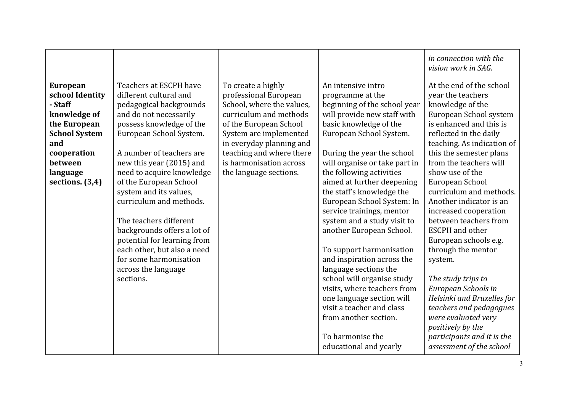|                                                                                                                                                                         |                                                                                                                                                                                                                                                                                                                                                                                                                                                                                                                       |                                                                                                                                                                                                                                                                     |                                                                                                                                                                                                                                                                                                                                                                                                                                                                                                                                                                                                                                                                                                                         | in connection with the<br>vision work in SAG.                                                                                                                                                                                                                                                                                                                                                                                                                                                                                                                                                                                                                                     |
|-------------------------------------------------------------------------------------------------------------------------------------------------------------------------|-----------------------------------------------------------------------------------------------------------------------------------------------------------------------------------------------------------------------------------------------------------------------------------------------------------------------------------------------------------------------------------------------------------------------------------------------------------------------------------------------------------------------|---------------------------------------------------------------------------------------------------------------------------------------------------------------------------------------------------------------------------------------------------------------------|-------------------------------------------------------------------------------------------------------------------------------------------------------------------------------------------------------------------------------------------------------------------------------------------------------------------------------------------------------------------------------------------------------------------------------------------------------------------------------------------------------------------------------------------------------------------------------------------------------------------------------------------------------------------------------------------------------------------------|-----------------------------------------------------------------------------------------------------------------------------------------------------------------------------------------------------------------------------------------------------------------------------------------------------------------------------------------------------------------------------------------------------------------------------------------------------------------------------------------------------------------------------------------------------------------------------------------------------------------------------------------------------------------------------------|
| <b>European</b><br>school Identity<br>- Staff<br>knowledge of<br>the European<br><b>School System</b><br>and<br>cooperation<br>between<br>language<br>sections. $(3,4)$ | Teachers at ESCPH have<br>different cultural and<br>pedagogical backgrounds<br>and do not necessarily<br>possess knowledge of the<br>European School System.<br>A number of teachers are<br>new this year (2015) and<br>need to acquire knowledge<br>of the European School<br>system and its values,<br>curriculum and methods.<br>The teachers different<br>backgrounds offers a lot of<br>potential for learning from<br>each other, but also a need<br>for some harmonisation<br>across the language<br>sections. | To create a highly<br>professional European<br>School, where the values,<br>curriculum and methods<br>of the European School<br>System are implemented<br>in everyday planning and<br>teaching and where there<br>is harmonisation across<br>the language sections. | An intensive intro<br>programme at the<br>beginning of the school year<br>will provide new staff with<br>basic knowledge of the<br>European School System.<br>During the year the school<br>will organise or take part in<br>the following activities<br>aimed at further deepening<br>the staff's knowledge the<br>European School System: In<br>service trainings, mentor<br>system and a study visit to<br>another European School.<br>To support harmonisation<br>and inspiration across the<br>language sections the<br>school will organise study<br>visits, where teachers from<br>one language section will<br>visit a teacher and class<br>from another section.<br>To harmonise the<br>educational and yearly | At the end of the school<br>year the teachers<br>knowledge of the<br>European School system<br>is enhanced and this is<br>reflected in the daily<br>teaching. As indication of<br>this the semester plans<br>from the teachers will<br>show use of the<br>European School<br>curriculum and methods.<br>Another indicator is an<br>increased cooperation<br>between teachers from<br><b>ESCPH</b> and other<br>European schools e.g.<br>through the mentor<br>system.<br>The study trips to<br>European Schools in<br>Helsinki and Bruxelles for<br>teachers and pedagogues<br>were evaluated very<br>positively by the<br>participants and it is the<br>assessment of the school |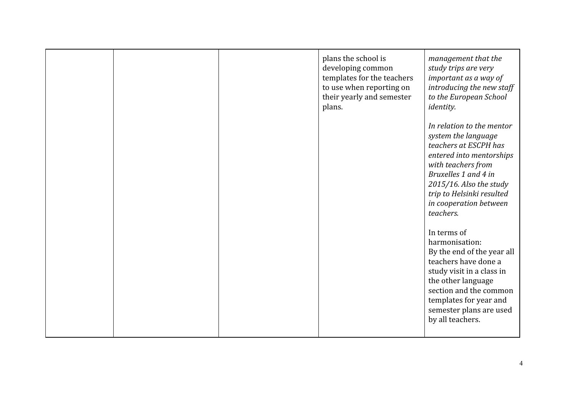|  | plans the school is<br>developing common<br>templates for the teachers<br>to use when reporting on<br>their yearly and semester<br>plans. | management that the<br>study trips are very<br>important as a way of<br>introducing the new staff<br>to the European School<br><i>identity.</i>                                                                                                    |
|--|-------------------------------------------------------------------------------------------------------------------------------------------|----------------------------------------------------------------------------------------------------------------------------------------------------------------------------------------------------------------------------------------------------|
|  |                                                                                                                                           | In relation to the mentor<br>system the language<br>teachers at ESCPH has<br>entered into mentorships<br>with teachers from<br>Bruxelles 1 and 4 in<br>2015/16. Also the study<br>trip to Helsinki resulted<br>in cooperation between<br>teachers. |
|  |                                                                                                                                           | In terms of<br>harmonisation:<br>By the end of the year all<br>teachers have done a<br>study visit in a class in<br>the other language<br>section and the common<br>templates for year and<br>semester plans are used<br>by all teachers.          |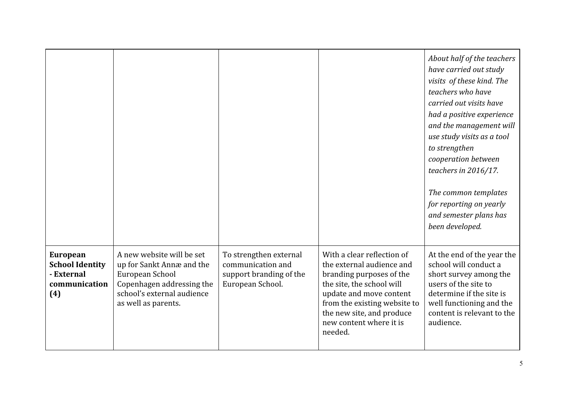|                                                                                 |                                                                                                                                                             |                                                                                            |                                                                                                                                                                                                                                                | About half of the teachers<br>have carried out study<br>visits of these kind. The<br>teachers who have<br>carried out visits have<br>had a positive experience<br>and the management will<br>use study visits as a tool<br>to strengthen<br>cooperation between<br>teachers in 2016/17.<br>The common templates<br>for reporting on yearly<br>and semester plans has<br>been developed. |
|---------------------------------------------------------------------------------|-------------------------------------------------------------------------------------------------------------------------------------------------------------|--------------------------------------------------------------------------------------------|------------------------------------------------------------------------------------------------------------------------------------------------------------------------------------------------------------------------------------------------|-----------------------------------------------------------------------------------------------------------------------------------------------------------------------------------------------------------------------------------------------------------------------------------------------------------------------------------------------------------------------------------------|
| <b>European</b><br><b>School Identity</b><br>- External<br>communication<br>(4) | A new website will be set<br>up for Sankt Annæ and the<br>European School<br>Copenhagen addressing the<br>school's external audience<br>as well as parents. | To strengthen external<br>communication and<br>support branding of the<br>European School. | With a clear reflection of<br>the external audience and<br>branding purposes of the<br>the site, the school will<br>update and move content<br>from the existing website to<br>the new site, and produce<br>new content where it is<br>needed. | At the end of the year the<br>school will conduct a<br>short survey among the<br>users of the site to<br>determine if the site is<br>well functioning and the<br>content is relevant to the<br>audience.                                                                                                                                                                                |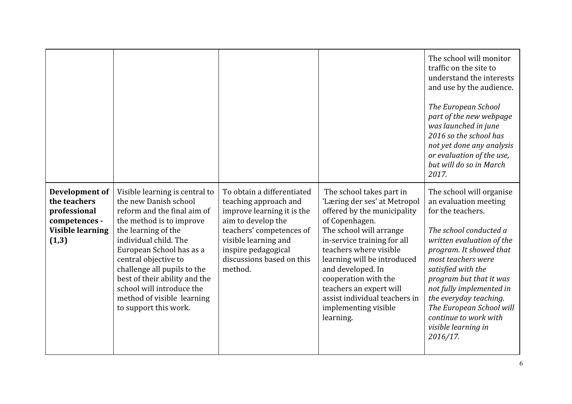|                                                                                                     |                                                                                                                                                                                                                                                                                                                                                                            |                                                                                                                                                                                                                            |                                                                                                                                                                                                                                                                                                                                                                            | The school will monitor<br>traffic on the site to<br>understand the interests<br>and use by the audience.<br>The European School<br>part of the new webpage<br>was launched in june<br>2016 so the school has<br>not yet done any analysis<br>or evaluation of the use,<br>but will do so in March<br>2017.                                                                   |
|-----------------------------------------------------------------------------------------------------|----------------------------------------------------------------------------------------------------------------------------------------------------------------------------------------------------------------------------------------------------------------------------------------------------------------------------------------------------------------------------|----------------------------------------------------------------------------------------------------------------------------------------------------------------------------------------------------------------------------|----------------------------------------------------------------------------------------------------------------------------------------------------------------------------------------------------------------------------------------------------------------------------------------------------------------------------------------------------------------------------|-------------------------------------------------------------------------------------------------------------------------------------------------------------------------------------------------------------------------------------------------------------------------------------------------------------------------------------------------------------------------------|
| Development of<br>the teachers<br>professional<br>competences -<br><b>Visible learning</b><br>(1,3) | Visible learning is central to<br>the new Danish school<br>reform and the final aim of<br>the method is to improve<br>the learning of the<br>individual child. The<br>European School has as a<br>central objective to<br>challenge all pupils to the<br>best of their ability and the<br>school will introduce the<br>method of visible learning<br>to support this work. | To obtain a differentiated<br>teaching approach and<br>improve learning it is the<br>aim to develop the<br>teachers' competences of<br>visible learning and<br>inspire pedagogical<br>discussions based on this<br>method. | The school takes part in<br>'Læring der ses' at Metropol<br>offered by the municipality<br>of Copenhagen.<br>The school will arrange<br>in-service training for all<br>teachers where visible<br>learning will be introduced<br>and developed. In<br>cooperation with the<br>teachers an expert will<br>assist individual teachers in<br>implementing visible<br>learning. | The school will organise<br>an evaluation meeting<br>for the teachers.<br>The school conducted a<br>written evaluation of the<br>program. It showed that<br>most teachers were<br>satisfied with the<br>program but that it was<br>not fully implemented in<br>the everyday teaching.<br>The European School will<br>continue to work with<br>visible learning in<br>2016/17. |